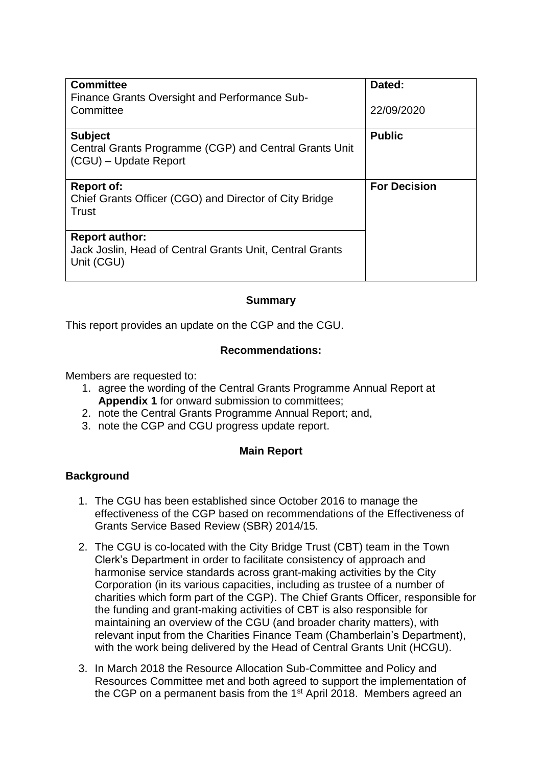| <b>Committee</b>                                                                | Dated:              |
|---------------------------------------------------------------------------------|---------------------|
| Finance Grants Oversight and Performance Sub-                                   |                     |
| Committee                                                                       | 22/09/2020          |
|                                                                                 |                     |
| <b>Subject</b>                                                                  | <b>Public</b>       |
| Central Grants Programme (CGP) and Central Grants Unit<br>(CGU) – Update Report |                     |
|                                                                                 |                     |
| <b>Report of:</b>                                                               | <b>For Decision</b> |
|                                                                                 |                     |
| Chief Grants Officer (CGO) and Director of City Bridge                          |                     |
| Trust                                                                           |                     |
|                                                                                 |                     |
| <b>Report author:</b>                                                           |                     |
| Jack Joslin, Head of Central Grants Unit, Central Grants                        |                     |
| Unit (CGU)                                                                      |                     |
|                                                                                 |                     |
|                                                                                 |                     |

### **Summary**

This report provides an update on the CGP and the CGU.

#### **Recommendations:**

Members are requested to:

- 1. agree the wording of the Central Grants Programme Annual Report at **Appendix 1** for onward submission to committees;
- 2. note the Central Grants Programme Annual Report; and,
- 3. note the CGP and CGU progress update report.

### **Main Report**

### **Background**

- 1. The CGU has been established since October 2016 to manage the effectiveness of the CGP based on recommendations of the Effectiveness of Grants Service Based Review (SBR) 2014/15.
- 2. The CGU is co-located with the City Bridge Trust (CBT) team in the Town Clerk's Department in order to facilitate consistency of approach and harmonise service standards across grant-making activities by the City Corporation (in its various capacities, including as trustee of a number of charities which form part of the CGP). The Chief Grants Officer, responsible for the funding and grant-making activities of CBT is also responsible for maintaining an overview of the CGU (and broader charity matters), with relevant input from the Charities Finance Team (Chamberlain's Department), with the work being delivered by the Head of Central Grants Unit (HCGU).
- 3. In March 2018 the Resource Allocation Sub-Committee and Policy and Resources Committee met and both agreed to support the implementation of the CGP on a permanent basis from the 1<sup>st</sup> April 2018. Members agreed an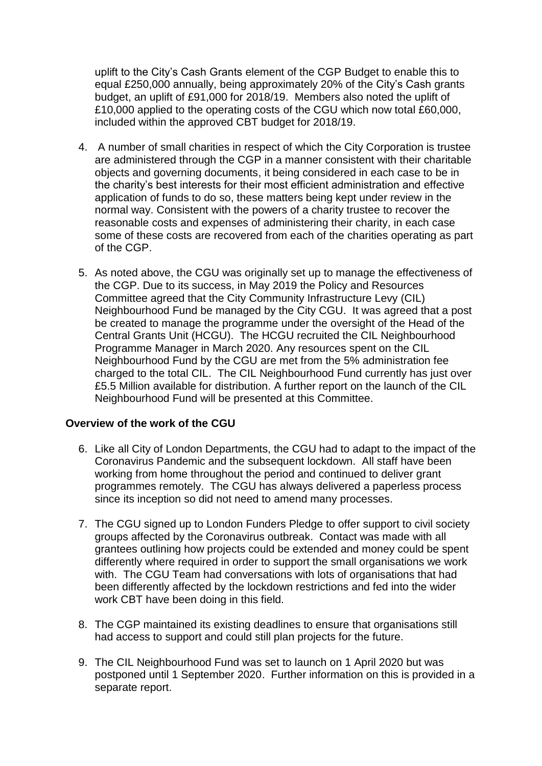uplift to the City's Cash Grants element of the CGP Budget to enable this to equal £250,000 annually, being approximately 20% of the City's Cash grants budget, an uplift of £91,000 for 2018/19. Members also noted the uplift of £10,000 applied to the operating costs of the CGU which now total £60,000, included within the approved CBT budget for 2018/19.

- 4. A number of small charities in respect of which the City Corporation is trustee are administered through the CGP in a manner consistent with their charitable objects and governing documents, it being considered in each case to be in the charity's best interests for their most efficient administration and effective application of funds to do so, these matters being kept under review in the normal way. Consistent with the powers of a charity trustee to recover the reasonable costs and expenses of administering their charity, in each case some of these costs are recovered from each of the charities operating as part of the CGP.
- 5. As noted above, the CGU was originally set up to manage the effectiveness of the CGP. Due to its success, in May 2019 the Policy and Resources Committee agreed that the City Community Infrastructure Levy (CIL) Neighbourhood Fund be managed by the City CGU. It was agreed that a post be created to manage the programme under the oversight of the Head of the Central Grants Unit (HCGU). The HCGU recruited the CIL Neighbourhood Programme Manager in March 2020. Any resources spent on the CIL Neighbourhood Fund by the CGU are met from the 5% administration fee charged to the total CIL. The CIL Neighbourhood Fund currently has just over £5.5 Million available for distribution. A further report on the launch of the CIL Neighbourhood Fund will be presented at this Committee.

### **Overview of the work of the CGU**

- 6. Like all City of London Departments, the CGU had to adapt to the impact of the Coronavirus Pandemic and the subsequent lockdown. All staff have been working from home throughout the period and continued to deliver grant programmes remotely. The CGU has always delivered a paperless process since its inception so did not need to amend many processes.
- 7. The CGU signed up to London Funders Pledge to offer support to civil society groups affected by the Coronavirus outbreak. Contact was made with all grantees outlining how projects could be extended and money could be spent differently where required in order to support the small organisations we work with. The CGU Team had conversations with lots of organisations that had been differently affected by the lockdown restrictions and fed into the wider work CBT have been doing in this field.
- 8. The CGP maintained its existing deadlines to ensure that organisations still had access to support and could still plan projects for the future.
- 9. The CIL Neighbourhood Fund was set to launch on 1 April 2020 but was postponed until 1 September 2020. Further information on this is provided in a separate report.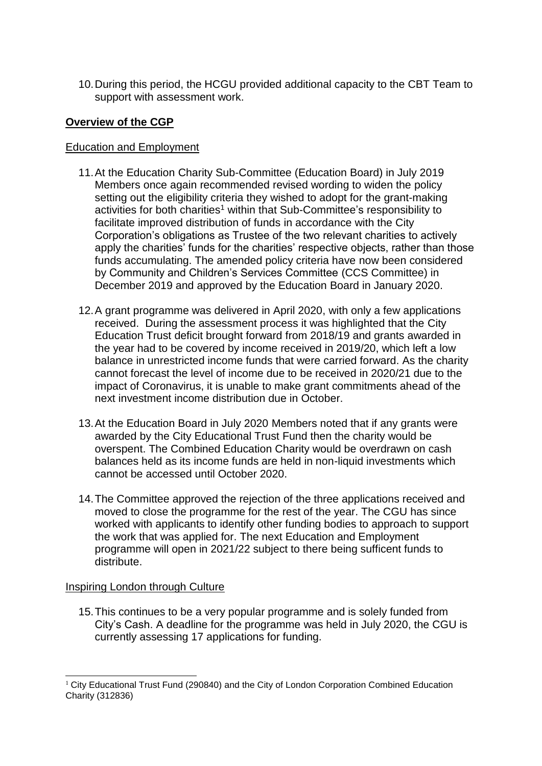10.During this period, the HCGU provided additional capacity to the CBT Team to support with assessment work.

### **Overview of the CGP**

### Education and Employment

- 11.At the Education Charity Sub-Committee (Education Board) in July 2019 Members once again recommended revised wording to widen the policy setting out the eligibility criteria they wished to adopt for the grant-making activities for both charities<sup>1</sup> within that Sub-Committee's responsibility to facilitate improved distribution of funds in accordance with the City Corporation's obligations as Trustee of the two relevant charities to actively apply the charities' funds for the charities' respective objects, rather than those funds accumulating. The amended policy criteria have now been considered by Community and Children's Services Committee (CCS Committee) in December 2019 and approved by the Education Board in January 2020.
- 12.A grant programme was delivered in April 2020, with only a few applications received. During the assessment process it was highlighted that the City Education Trust deficit brought forward from 2018/19 and grants awarded in the year had to be covered by income received in 2019/20, which left a low balance in unrestricted income funds that were carried forward. As the charity cannot forecast the level of income due to be received in 2020/21 due to the impact of Coronavirus, it is unable to make grant commitments ahead of the next investment income distribution due in October.
- 13.At the Education Board in July 2020 Members noted that if any grants were awarded by the City Educational Trust Fund then the charity would be overspent. The Combined Education Charity would be overdrawn on cash balances held as its income funds are held in non-liquid investments which cannot be accessed until October 2020.
- 14.The Committee approved the rejection of the three applications received and moved to close the programme for the rest of the year. The CGU has since worked with applicants to identify other funding bodies to approach to support the work that was applied for. The next Education and Employment programme will open in 2021/22 subject to there being sufficent funds to distribute.

#### Inspiring London through Culture

15.This continues to be a very popular programme and is solely funded from City's Cash. A deadline for the programme was held in July 2020, the CGU is currently assessing 17 applications for funding.

<sup>-</sup> $1$  City Educational Trust Fund (290840) and the City of London Corporation Combined Education Charity (312836)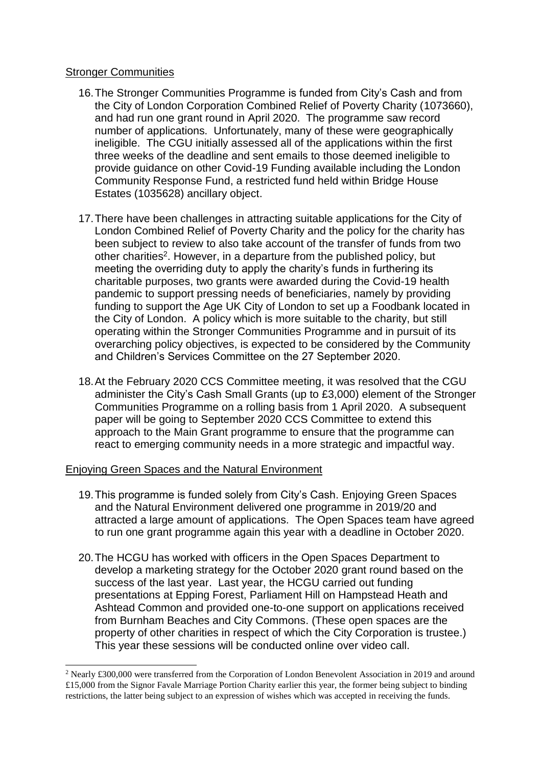#### Stronger Communities

- 16.The Stronger Communities Programme is funded from City's Cash and from the City of London Corporation Combined Relief of Poverty Charity (1073660), and had run one grant round in April 2020. The programme saw record number of applications. Unfortunately, many of these were geographically ineligible. The CGU initially assessed all of the applications within the first three weeks of the deadline and sent emails to those deemed ineligible to provide guidance on other Covid-19 Funding available including the London Community Response Fund, a restricted fund held within Bridge House Estates (1035628) ancillary object.
- 17.There have been challenges in attracting suitable applications for the City of London Combined Relief of Poverty Charity and the policy for the charity has been subject to review to also take account of the transfer of funds from two other charities<sup>2</sup>. However, in a departure from the published policy, but meeting the overriding duty to apply the charity's funds in furthering its charitable purposes, two grants were awarded during the Covid-19 health pandemic to support pressing needs of beneficiaries, namely by providing funding to support the Age UK City of London to set up a Foodbank located in the City of London. A policy which is more suitable to the charity, but still operating within the Stronger Communities Programme and in pursuit of its overarching policy objectives, is expected to be considered by the Community and Children's Services Committee on the 27 September 2020.
- 18.At the February 2020 CCS Committee meeting, it was resolved that the CGU administer the City's Cash Small Grants (up to £3,000) element of the Stronger Communities Programme on a rolling basis from 1 April 2020. A subsequent paper will be going to September 2020 CCS Committee to extend this approach to the Main Grant programme to ensure that the programme can react to emerging community needs in a more strategic and impactful way.

### Enjoying Green Spaces and the Natural Environment

-

- 19.This programme is funded solely from City's Cash. Enjoying Green Spaces and the Natural Environment delivered one programme in 2019/20 and attracted a large amount of applications. The Open Spaces team have agreed to run one grant programme again this year with a deadline in October 2020.
- 20.The HCGU has worked with officers in the Open Spaces Department to develop a marketing strategy for the October 2020 grant round based on the success of the last year. Last year, the HCGU carried out funding presentations at Epping Forest, Parliament Hill on Hampstead Heath and Ashtead Common and provided one-to-one support on applications received from Burnham Beaches and City Commons. (These open spaces are the property of other charities in respect of which the City Corporation is trustee.) This year these sessions will be conducted online over video call.

<sup>2</sup> Nearly £300,000 were transferred from the Corporation of London Benevolent Association in 2019 and around £15,000 from the Signor Favale Marriage Portion Charity earlier this year, the former being subject to binding restrictions, the latter being subject to an expression of wishes which was accepted in receiving the funds.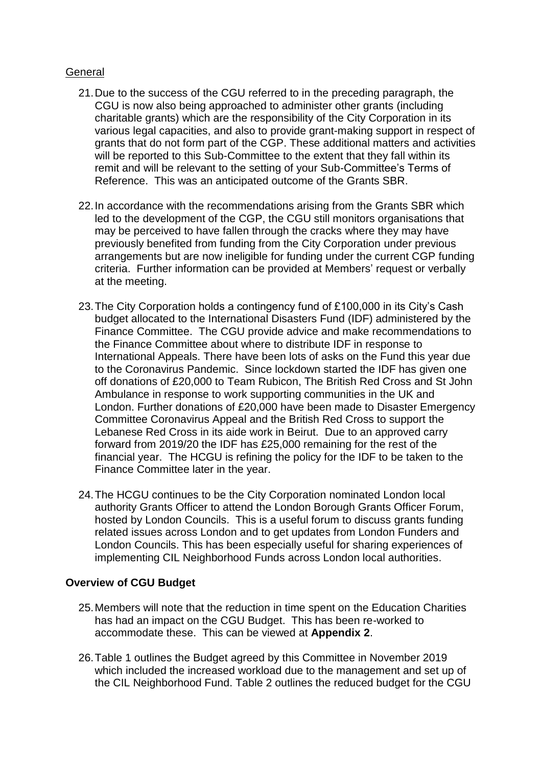### General

- 21.Due to the success of the CGU referred to in the preceding paragraph, the CGU is now also being approached to administer other grants (including charitable grants) which are the responsibility of the City Corporation in its various legal capacities, and also to provide grant-making support in respect of grants that do not form part of the CGP. These additional matters and activities will be reported to this Sub-Committee to the extent that they fall within its remit and will be relevant to the setting of your Sub-Committee's Terms of Reference. This was an anticipated outcome of the Grants SBR.
- 22.In accordance with the recommendations arising from the Grants SBR which led to the development of the CGP, the CGU still monitors organisations that may be perceived to have fallen through the cracks where they may have previously benefited from funding from the City Corporation under previous arrangements but are now ineligible for funding under the current CGP funding criteria. Further information can be provided at Members' request or verbally at the meeting.
- 23.The City Corporation holds a contingency fund of £100,000 in its City's Cash budget allocated to the International Disasters Fund (IDF) administered by the Finance Committee. The CGU provide advice and make recommendations to the Finance Committee about where to distribute IDF in response to International Appeals. There have been lots of asks on the Fund this year due to the Coronavirus Pandemic. Since lockdown started the IDF has given one off donations of £20,000 to Team Rubicon, The British Red Cross and St John Ambulance in response to work supporting communities in the UK and London. Further donations of £20,000 have been made to Disaster Emergency Committee Coronavirus Appeal and the British Red Cross to support the Lebanese Red Cross in its aide work in Beirut. Due to an approved carry forward from 2019/20 the IDF has £25,000 remaining for the rest of the financial year. The HCGU is refining the policy for the IDF to be taken to the Finance Committee later in the year.
- 24.The HCGU continues to be the City Corporation nominated London local authority Grants Officer to attend the London Borough Grants Officer Forum, hosted by London Councils. This is a useful forum to discuss grants funding related issues across London and to get updates from London Funders and London Councils. This has been especially useful for sharing experiences of implementing CIL Neighborhood Funds across London local authorities.

### **Overview of CGU Budget**

- 25.Members will note that the reduction in time spent on the Education Charities has had an impact on the CGU Budget. This has been re-worked to accommodate these. This can be viewed at **Appendix 2**.
- 26.Table 1 outlines the Budget agreed by this Committee in November 2019 which included the increased workload due to the management and set up of the CIL Neighborhood Fund. Table 2 outlines the reduced budget for the CGU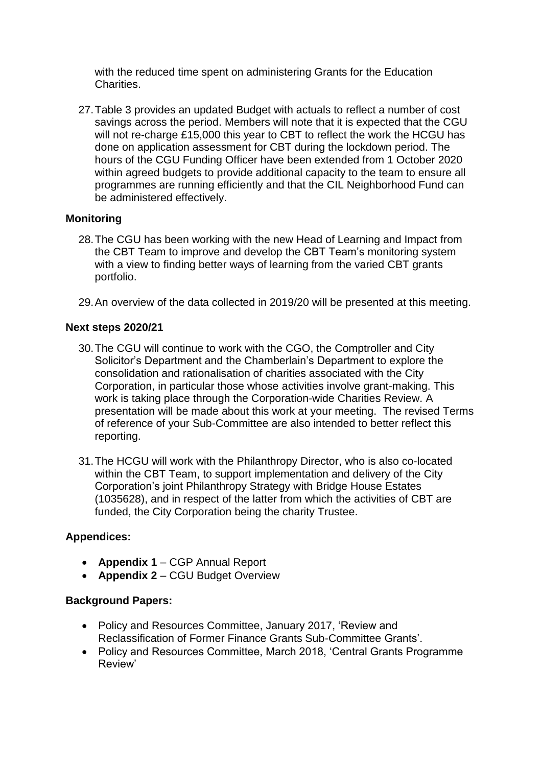with the reduced time spent on administering Grants for the Education Charities.

27.Table 3 provides an updated Budget with actuals to reflect a number of cost savings across the period. Members will note that it is expected that the CGU will not re-charge £15,000 this year to CBT to reflect the work the HCGU has done on application assessment for CBT during the lockdown period. The hours of the CGU Funding Officer have been extended from 1 October 2020 within agreed budgets to provide additional capacity to the team to ensure all programmes are running efficiently and that the CIL Neighborhood Fund can be administered effectively.

## **Monitoring**

- 28.The CGU has been working with the new Head of Learning and Impact from the CBT Team to improve and develop the CBT Team's monitoring system with a view to finding better ways of learning from the varied CBT grants portfolio.
- 29.An overview of the data collected in 2019/20 will be presented at this meeting.

# **Next steps 2020/21**

- 30.The CGU will continue to work with the CGO, the Comptroller and City Solicitor's Department and the Chamberlain's Department to explore the consolidation and rationalisation of charities associated with the City Corporation, in particular those whose activities involve grant-making. This work is taking place through the Corporation-wide Charities Review. A presentation will be made about this work at your meeting. The revised Terms of reference of your Sub-Committee are also intended to better reflect this reporting.
- 31.The HCGU will work with the Philanthropy Director, who is also co-located within the CBT Team, to support implementation and delivery of the City Corporation's joint Philanthropy Strategy with Bridge House Estates (1035628), and in respect of the latter from which the activities of CBT are funded, the City Corporation being the charity Trustee.

## **Appendices:**

- **Appendix 1** CGP Annual Report
- **Appendix 2** CGU Budget Overview

## **Background Papers:**

- Policy and Resources Committee, January 2017, 'Review and Reclassification of Former Finance Grants Sub-Committee Grants'.
- Policy and Resources Committee, March 2018, 'Central Grants Programme Review'